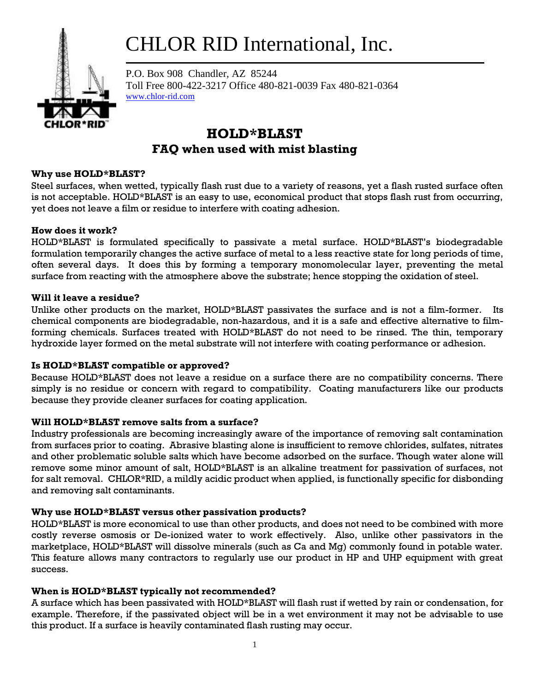# CHLOR RID International, Inc.



P.O. Box 908 Chandler, AZ 85244 Toll Free 800-422-3217 Office 480-821-0039 Fax 480-821-0364 [www.chlor-rid.com](http://www.chlor-rid.com/)

# **HOLD\*BLAST FAQ when used with mist blasting**

# **Why use HOLD\*BLAST?**

Steel surfaces, when wetted, typically flash rust due to a variety of reasons, yet a flash rusted surface often is not acceptable. HOLD\*BLAST is an easy to use, economical product that stops flash rust from occurring, yet does not leave a film or residue to interfere with coating adhesion.

#### **How does it work?**

HOLD\*BLAST is formulated specifically to passivate a metal surface. HOLD\*BLAST's biodegradable formulation temporarily changes the active surface of metal to a less reactive state for long periods of time, often several days. It does this by forming a temporary monomolecular layer, preventing the metal surface from reacting with the atmosphere above the substrate; hence stopping the oxidation of steel.

#### **Will it leave a residue?**

Unlike other products on the market, HOLD\*BLAST passivates the surface and is not a film-former. Its chemical components are biodegradable, non-hazardous, and it is a safe and effective alternative to filmforming chemicals. Surfaces treated with HOLD\*BLAST do not need to be rinsed. The thin, temporary hydroxide layer formed on the metal substrate will not interfere with coating performance or adhesion.

#### **Is HOLD\*BLAST compatible or approved?**

Because HOLD\*BLAST does not leave a residue on a surface there are no compatibility concerns. There simply is no residue or concern with regard to compatibility. Coating manufacturers like our products because they provide cleaner surfaces for coating application.

# **Will HOLD\*BLAST remove salts from a surface?**

Industry professionals are becoming increasingly aware of the importance of removing salt contamination from surfaces prior to coating. Abrasive blasting alone is insufficient to remove chlorides, sulfates, nitrates and other problematic soluble salts which have become adsorbed on the surface. Though water alone will remove some minor amount of salt, HOLD\*BLAST is an alkaline treatment for passivation of surfaces, not for salt removal. CHLOR\*RID, a mildly acidic product when applied, is functionally specific for disbonding and removing salt contaminants.

# **Why use HOLD\*BLAST versus other passivation products?**

HOLD\*BLAST is more economical to use than other products, and does not need to be combined with more costly reverse osmosis or De-ionized water to work effectively. Also, unlike other passivators in the marketplace, HOLD\*BLAST will dissolve minerals (such as Ca and Mg) commonly found in potable water. This feature allows many contractors to regularly use our product in HP and UHP equipment with great success.

# **When is HOLD\*BLAST typically not recommended?**

A surface which has been passivated with HOLD\*BLAST will flash rust if wetted by rain or condensation, for example. Therefore, if the passivated object will be in a wet environment it may not be advisable to use this product. If a surface is heavily contaminated flash rusting may occur.